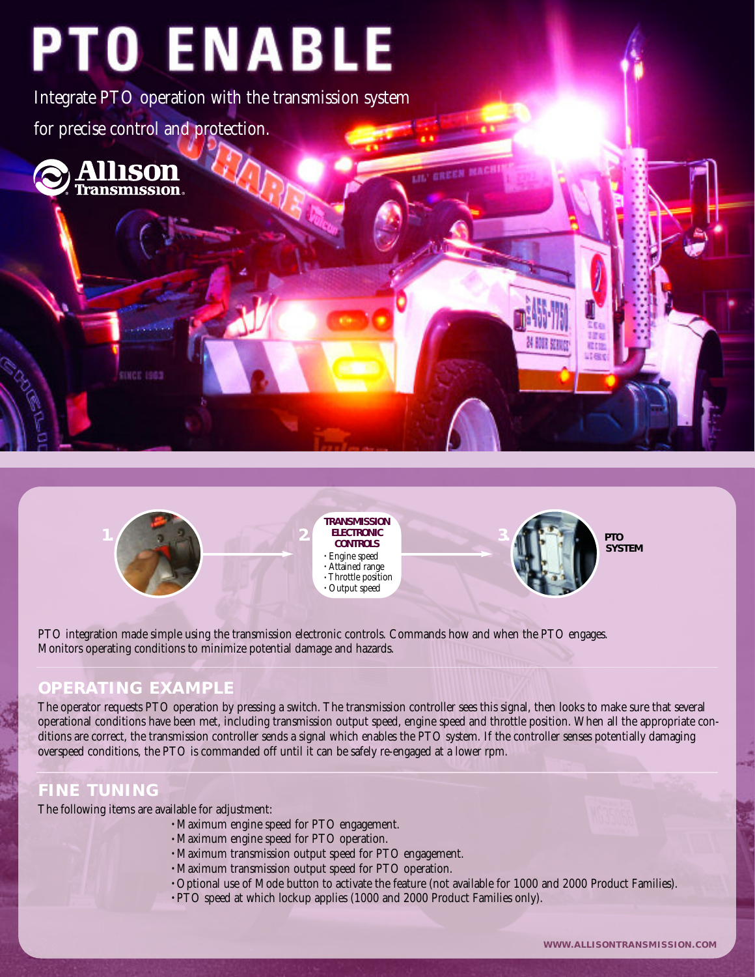# **PTO ENABLE**

Integrate PTO operation with the transmission system for precise control and protection.







PTO integration made simple using the transmission electronic controls. Commands how and when the PTO engages. Monitors operating conditions to minimize potential damage and hazards.

## **OPERATING EXAMPLE**

**SINCE 1963** 

The operator requests PTO operation by pressing a switch. The transmission controller sees this signal, then looks to make sure that several operational conditions have been met, including transmission output speed, engine speed and throttle position. When all the appropriate conditions are correct, the transmission controller sends a signal which enables the PTO system. If the controller senses potentially damaging overspeed conditions, the PTO is commanded off until it can be safely re-engaged at a lower rpm.

## **FINE TUNING**

The following items are available for adjustment:

- Maximum engine speed for PTO engagement.
- Maximum engine speed for PTO operation.
- Maximum transmission output speed for PTO engagement.
- Maximum transmission output speed for PTO operation.
- Optional use of Mode button to activate the feature (not available for 1000 and 2000 Product Families).
- PTO speed at which lockup applies (1000 and 2000 Product Families only).